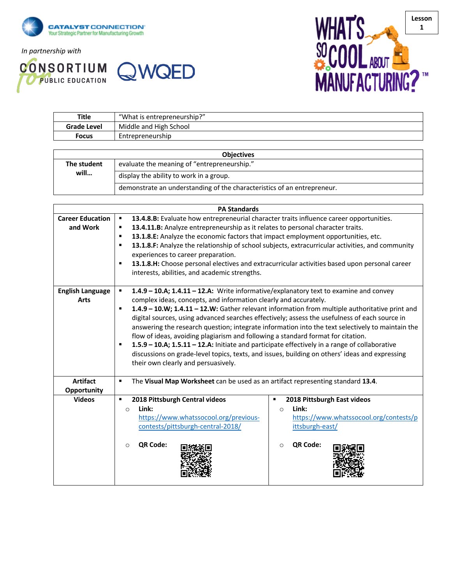

*In partnership with*





| <b>Title</b>       | "What is entrepreneurship?" |  |
|--------------------|-----------------------------|--|
| <b>Grade Level</b> | Middle and High School      |  |
| <b>Focus</b>       | Entrepreneurship            |  |
|                    |                             |  |

| <b>Objectives</b>   |                                                                         |  |  |
|---------------------|-------------------------------------------------------------------------|--|--|
| The student<br>will | evaluate the meaning of "entrepreneurship."                             |  |  |
|                     | display the ability to work in a group.                                 |  |  |
|                     | demonstrate an understanding of the characteristics of an entrepreneur. |  |  |

|                                     | <b>PA Standards</b>                                                                                                                                                                                                                                                                                                                                                                                                                                                                                                                                                                                                                                                                                                                                                                                                                     |  |  |  |
|-------------------------------------|-----------------------------------------------------------------------------------------------------------------------------------------------------------------------------------------------------------------------------------------------------------------------------------------------------------------------------------------------------------------------------------------------------------------------------------------------------------------------------------------------------------------------------------------------------------------------------------------------------------------------------------------------------------------------------------------------------------------------------------------------------------------------------------------------------------------------------------------|--|--|--|
| <b>Career Education</b><br>and Work | 13.4.8.B: Evaluate how entrepreneurial character traits influence career opportunities.<br>13.4.11.B: Analyze entrepreneurship as it relates to personal character traits.<br>13.1.8.E: Analyze the economic factors that impact employment opportunities, etc.                                                                                                                                                                                                                                                                                                                                                                                                                                                                                                                                                                         |  |  |  |
|                                     | 13.1.8.F: Analyze the relationship of school subjects, extracurricular activities, and community<br>experiences to career preparation.<br>13.1.8.H: Choose personal electives and extracurricular activities based upon personal career<br>interests, abilities, and academic strengths.                                                                                                                                                                                                                                                                                                                                                                                                                                                                                                                                                |  |  |  |
| <b>English Language</b><br>Arts     | 1.4.9 - 10.A; 1.4.11 - 12.A: Write informative/explanatory text to examine and convey<br>$\blacksquare$<br>complex ideas, concepts, and information clearly and accurately.<br>1.4.9 - 10.W; 1.4.11 - 12.W: Gather relevant information from multiple authoritative print and<br>$\blacksquare$<br>digital sources, using advanced searches effectively; assess the usefulness of each source in<br>answering the research question; integrate information into the text selectively to maintain the<br>flow of ideas, avoiding plagiarism and following a standard format for citation.<br>1.5.9 - 10.A; 1.5.11 - 12.A: Initiate and participate effectively in a range of collaborative<br>٠<br>discussions on grade-level topics, texts, and issues, building on others' ideas and expressing<br>their own clearly and persuasively. |  |  |  |
| <b>Artifact</b><br>Opportunity      | The Visual Map Worksheet can be used as an artifact representing standard 13.4.<br>$\blacksquare$                                                                                                                                                                                                                                                                                                                                                                                                                                                                                                                                                                                                                                                                                                                                       |  |  |  |
| <b>Videos</b>                       | 2018 Pittsburgh Central videos<br>2018 Pittsburgh East videos<br>Ξ<br>٠<br>Link:<br>Link:<br>$\circ$<br>$\circ$<br>https://www.whatssocool.org/previous-<br>https://www.whatssocool.org/contests/p<br>ittsburgh-east/<br>contests/pittsburgh-central-2018/<br>QR Code:<br>QR Code:<br>$\circ$<br>$\circ$                                                                                                                                                                                                                                                                                                                                                                                                                                                                                                                                |  |  |  |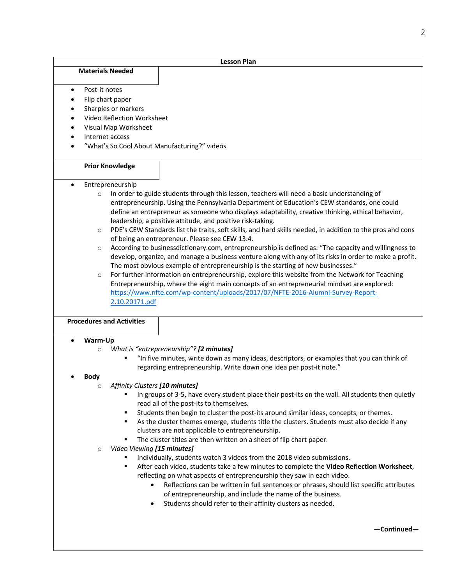|           | <b>Lesson Plan</b>                      |                                  |                                                                                                            |
|-----------|-----------------------------------------|----------------------------------|------------------------------------------------------------------------------------------------------------|
|           | <b>Materials Needed</b>                 |                                  |                                                                                                            |
|           |                                         |                                  |                                                                                                            |
| $\bullet$ | Post-it notes                           |                                  |                                                                                                            |
|           | Flip chart paper                        |                                  |                                                                                                            |
|           | Sharpies or markers<br>$\bullet$        |                                  |                                                                                                            |
|           | Video Reflection Worksheet<br>$\bullet$ |                                  |                                                                                                            |
| $\bullet$ |                                         | Visual Map Worksheet             |                                                                                                            |
| $\bullet$ | Internet access                         |                                  |                                                                                                            |
|           |                                         |                                  | "What's So Cool About Manufacturing?" videos                                                               |
|           | <b>Prior Knowledge</b>                  |                                  |                                                                                                            |
|           |                                         | Entrepreneurship                 |                                                                                                            |
|           | $\circ$                                 |                                  | In order to guide students through this lesson, teachers will need a basic understanding of                |
|           |                                         |                                  | entrepreneurship. Using the Pennsylvania Department of Education's CEW standards, one could                |
|           |                                         |                                  | define an entrepreneur as someone who displays adaptability, creative thinking, ethical behavior,          |
|           |                                         |                                  | leadership, a positive attitude, and positive risk-taking.                                                 |
|           | $\circ$                                 |                                  | PDE's CEW Standards list the traits, soft skills, and hard skills needed, in addition to the pros and cons |
|           |                                         |                                  | of being an entrepreneur. Please see CEW 13.4.                                                             |
|           | $\circ$                                 |                                  | According to businessdictionary.com, entrepreneurship is defined as: "The capacity and willingness to      |
|           |                                         |                                  | develop, organize, and manage a business venture along with any of its risks in order to make a profit.    |
|           |                                         |                                  | The most obvious example of entrepreneurship is the starting of new businesses."                           |
|           | $\circ$                                 |                                  | For further information on entrepreneurship, explore this website from the Network for Teaching            |
|           |                                         |                                  | Entrepreneurship, where the eight main concepts of an entrepreneurial mindset are explored:                |
|           |                                         |                                  | https://www.nfte.com/wp-content/uploads/2017/07/NFTE-2016-Alumni-Survey-Report-                            |
|           |                                         | 2.10.20171.pdf                   |                                                                                                            |
|           |                                         |                                  |                                                                                                            |
|           |                                         | <b>Procedures and Activities</b> |                                                                                                            |
|           | Warm-Up                                 |                                  |                                                                                                            |
|           | $\circ$                                 |                                  | What is "entrepreneurship"? [2 minutes]                                                                    |
|           |                                         |                                  | "In five minutes, write down as many ideas, descriptors, or examples that you can think of                 |
|           |                                         |                                  | regarding entrepreneurship. Write down one idea per post-it note."                                         |
|           | <b>Body</b>                             |                                  |                                                                                                            |
|           | $\circ$                                 | Affinity Clusters [10 minutes]   |                                                                                                            |
|           |                                         |                                  | In groups of 3-5, have every student place their post-its on the wall. All students then quietly           |
|           |                                         |                                  | read all of the post-its to themselves.                                                                    |
|           |                                         | ٠                                | Students then begin to cluster the post-its around similar ideas, concepts, or themes.                     |
|           |                                         |                                  | As the cluster themes emerge, students title the clusters. Students must also decide if any                |
|           |                                         |                                  | clusters are not applicable to entrepreneurship.                                                           |
|           |                                         |                                  | The cluster titles are then written on a sheet of flip chart paper.                                        |
|           | $\circ$                                 | Video Viewing [15 minutes]       |                                                                                                            |
|           |                                         |                                  | Individually, students watch 3 videos from the 2018 video submissions.                                     |
|           |                                         | ٠                                | After each video, students take a few minutes to complete the Video Reflection Worksheet,                  |
|           |                                         |                                  | reflecting on what aspects of entrepreneurship they saw in each video.                                     |
|           |                                         |                                  | Reflections can be written in full sentences or phrases, should list specific attributes                   |
|           |                                         |                                  | of entrepreneurship, and include the name of the business.                                                 |
|           |                                         |                                  | Students should refer to their affinity clusters as needed.                                                |
|           |                                         |                                  |                                                                                                            |
|           |                                         |                                  |                                                                                                            |
|           |                                         |                                  | -Continued-                                                                                                |
|           |                                         |                                  |                                                                                                            |

2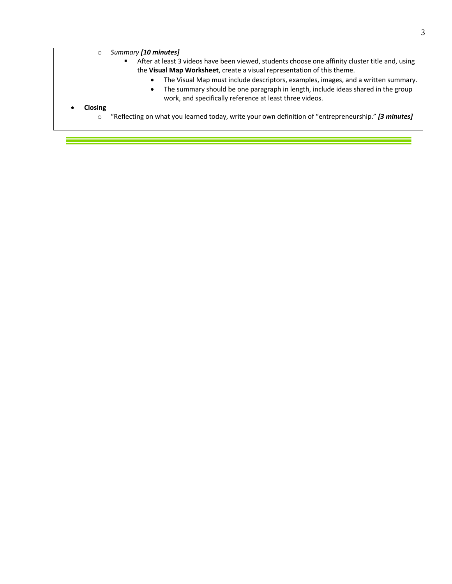### o *Summary [10 minutes]*

- After at least 3 videos have been viewed, students choose one affinity cluster title and, using the **Visual Map Worksheet**, create a visual representation of this theme.
	- The Visual Map must include descriptors, examples, images, and a written summary.
	- The summary should be one paragraph in length, include ideas shared in the group work, and specifically reference at least three videos.

### • **Closing**

o "Reflecting on what you learned today, write your own definition of "entrepreneurship." *[3 minutes]*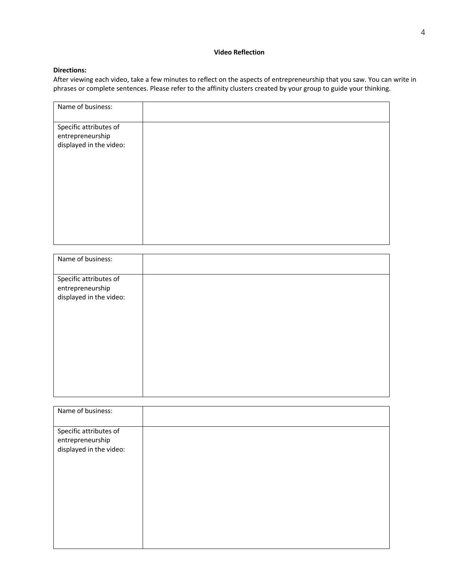## **Video Reflection**

# **Directions:**

After viewing each video, take a few minutes to reflect on the aspects of entrepreneurship that you saw. You can write in phrases or complete sentences. Please refer to the affinity clusters created by your group to guide your thinking.

| Name of business:                                                     |  |
|-----------------------------------------------------------------------|--|
| Specific attributes of<br>entrepreneurship<br>displayed in the video: |  |
|                                                                       |  |

| Name of business:                                                     |  |
|-----------------------------------------------------------------------|--|
| Specific attributes of<br>entrepreneurship<br>displayed in the video: |  |
|                                                                       |  |

| Name of business:                                                     |  |
|-----------------------------------------------------------------------|--|
| Specific attributes of<br>entrepreneurship<br>displayed in the video: |  |
|                                                                       |  |
|                                                                       |  |